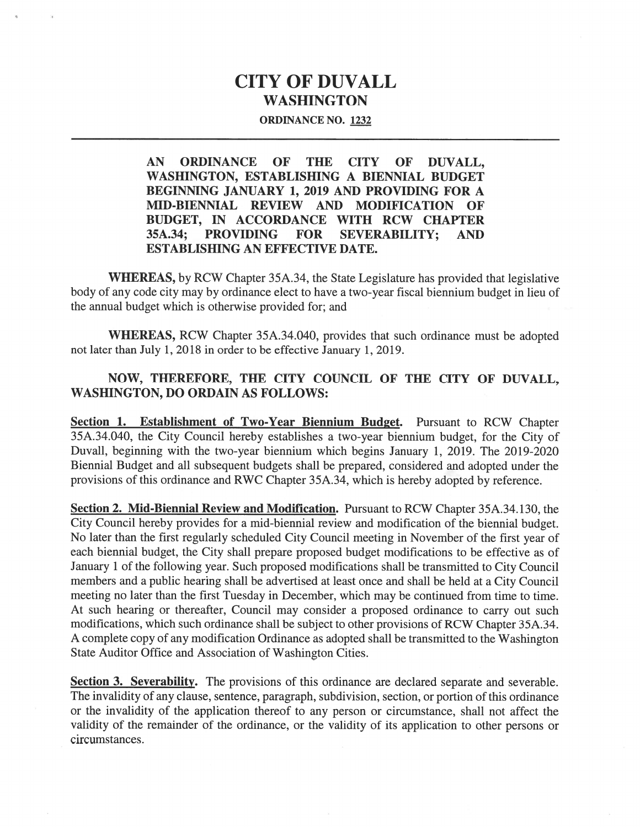## CITY OF DUVALL WASHINGTON

## ORDINANCE NO. 1232

AN ORDINANCE OF THE CITY OF DUVALL, WASHINGTON, ESTABLISHING A BIENNIAL BUDGET BEGINNING JANUARY 1, 2019 AND PROVIDING FOR A MID-BIENNIAL REVIEW AND MODIFICATION OF BUDGET, IN ACCORDANCE WITH RCW CHAPTER 35A.34; PROVIDING FOR SEVERABILITY; AND ESTABLISHING AN EFFECTIVE DATE.

WHEREAS, by RCW Chapter 35A.34, the State Legislature has provided that legislative body of any code city may by ordinance elect to have <sup>a</sup> two-year fiscal biennium budget in lieu of the annual budget which is otherwise provided for; and

WHEREAS, RCW Chapter 35A.34.040, provides that such ordinance must be adopted not later than July 1, 2018 in order to be effective January 1, 2019.

## NOW, THEREFORE, THE CITY COUNCIL OF THE CITY OF DUVALL, WASHINGTON, DO ORDAIN AS FOLLOWS:

Section 1. Establishment of Two-Year Biennium Budget. Pursuant to RCW Chapter 35A.34.040, the City Council hereby establishes <sup>a</sup> two-year biennium budget, for the City of Duvall, beginning with the two-year biennium which begins January 1, 2019. The 2019-2020 Biennial Budget and all subsequent budgets shall be prepared, considered and adopted under the provisions of this ordinance and RWC Chapter 35A.34, which is hereby adopted by reference.

Section 2. Mid-Biennial Review and Modification. Pursuant to RCW Chapter 35A.34.130, the City Council hereby provides for <sup>a</sup> mid-biennial review and modification of the biennial budget. No later than the first regularly scheduled City Council meeting in November of the first year of each biennial budget, the City shall prepare proposed budget modifications to be effective as of January 1 of the following year. Such proposed modifications shall be transmitted to City Council members and <sup>a</sup> public hearing shall be advertised at least once and shall be held at <sup>a</sup> City Council meeting no later than the first Tuesday in December, which may be continued from time to time. At such hearing or thereafter, Council may consider <sup>a</sup> proposed ordinance to carry out such modifications, which such ordinance shall be subject to other provisions of RCW Chapter 35A.34. <sup>A</sup> complete copy of any modification Ordinance as adopted shall be transmitted to the Washington State Auditor Office and Association of Washington Cities.

Section 3. Severability. The provisions of this ordinance are declared separate and severable. The invalidity of any clause, sentence, paragraph, subdivision, section, or portion of this ordinance or the invalidity of the application thereof to any person or circumstance, shall not affect the validity of the remainder of the ordinance, or the validity of its application to other persons or circumstances.